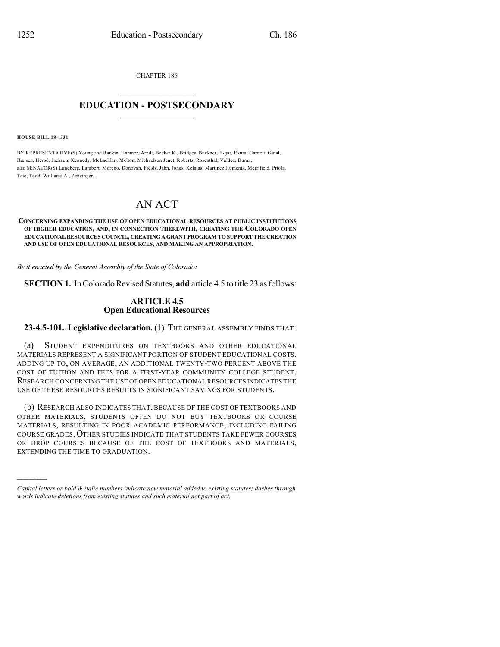CHAPTER 186

## $\mathcal{L}_\text{max}$  . The set of the set of the set of the set of the set of the set of the set of the set of the set of the set of the set of the set of the set of the set of the set of the set of the set of the set of the set **EDUCATION - POSTSECONDARY**  $\_$   $\_$   $\_$   $\_$   $\_$   $\_$   $\_$   $\_$   $\_$

**HOUSE BILL 18-1331**

)))))

BY REPRESENTATIVE(S) Young and Rankin, Hamner, Arndt, Becker K., Bridges, Buckner, Esgar, Exum, Garnett, Ginal, Hansen, Herod, Jackson, Kennedy, McLachlan, Melton, Michaelson Jenet, Roberts, Rosenthal, Valdez, Duran; also SENATOR(S) Lundberg, Lambert, Moreno, Donovan, Fields, Jahn, Jones, Kefalas, Martinez Humenik, Merrifield, Priola, Tate, Todd, Williams A., Zenzinger.

## AN ACT

## **CONCERNING EXPANDING THE USE OF OPEN EDUCATIONAL RESOURCES AT PUBLIC INSTITUTIONS OF HIGHER EDUCATION, AND, IN CONNECTION THEREWITH, CREATING THE COLORADO OPEN EDUCATIONALRESOURCES COUNCIL,CREATINGAGRANTPROGRAM TOSUPPORTTHE CREATION AND USE OF OPEN EDUCATIONAL RESOURCES, AND MAKING AN APPROPRIATION.**

*Be it enacted by the General Assembly of the State of Colorado:*

**SECTION 1.** In Colorado Revised Statutes, **add** article 4.5 to title 23 as follows:

## **ARTICLE 4.5 Open Educational Resources**

**23-4.5-101. Legislative declaration.** (1) THE GENERAL ASSEMBLY FINDS THAT:

(a) STUDENT EXPENDITURES ON TEXTBOOKS AND OTHER EDUCATIONAL MATERIALS REPRESENT A SIGNIFICANT PORTION OF STUDENT EDUCATIONAL COSTS, ADDING UP TO, ON AVERAGE, AN ADDITIONAL TWENTY-TWO PERCENT ABOVE THE COST OF TUITION AND FEES FOR A FIRST-YEAR COMMUNITY COLLEGE STUDENT. RESEARCH CONCERNING THE USE OF OPEN EDUCATIONAL RESOURCES INDICATES THE USE OF THESE RESOURCES RESULTS IN SIGNIFICANT SAVINGS FOR STUDENTS.

(b) RESEARCH ALSO INDICATES THAT, BECAUSE OF THE COST OF TEXTBOOKS AND OTHER MATERIALS, STUDENTS OFTEN DO NOT BUY TEXTBOOKS OR COURSE MATERIALS, RESULTING IN POOR ACADEMIC PERFORMANCE, INCLUDING FAILING COURSE GRADES.OTHER STUDIES INDICATE THAT STUDENTS TAKE FEWER COURSES OR DROP COURSES BECAUSE OF THE COST OF TEXTBOOKS AND MATERIALS, EXTENDING THE TIME TO GRADUATION.

*Capital letters or bold & italic numbers indicate new material added to existing statutes; dashes through words indicate deletions from existing statutes and such material not part of act.*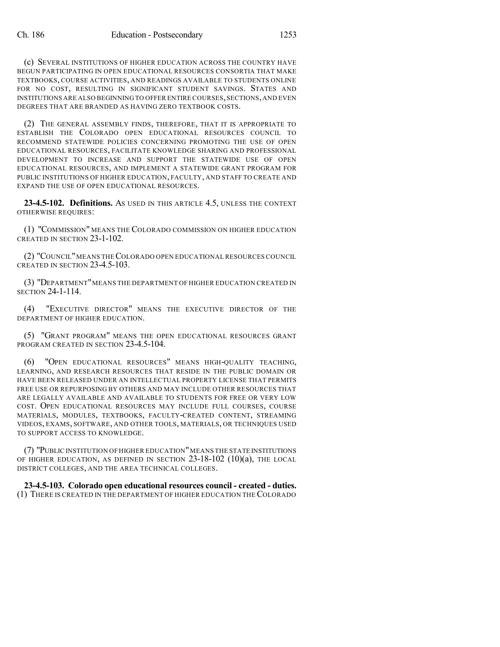(c) SEVERAL INSTITUTIONS OF HIGHER EDUCATION ACROSS THE COUNTRY HAVE BEGUN PARTICIPATING IN OPEN EDUCATIONAL RESOURCES CONSORTIA THAT MAKE TEXTBOOKS, COURSE ACTIVITIES, AND READINGS AVAILABLE TO STUDENTS ONLINE FOR NO COST, RESULTING IN SIGNIFICANT STUDENT SAVINGS. STATES AND INSTITUTIONS ARE ALSO BEGINNING TO OFFER ENTIRE COURSES, SECTIONS, AND EVEN DEGREES THAT ARE BRANDED AS HAVING ZERO TEXTBOOK COSTS.

(2) THE GENERAL ASSEMBLY FINDS, THEREFORE, THAT IT IS APPROPRIATE TO ESTABLISH THE COLORADO OPEN EDUCATIONAL RESOURCES COUNCIL TO RECOMMEND STATEWIDE POLICIES CONCERNING PROMOTING THE USE OF OPEN EDUCATIONAL RESOURCES, FACILITATE KNOWLEDGE SHARING AND PROFESSIONAL DEVELOPMENT TO INCREASE AND SUPPORT THE STATEWIDE USE OF OPEN EDUCATIONAL RESOURCES, AND IMPLEMENT A STATEWIDE GRANT PROGRAM FOR PUBLIC INSTITUTIONS OF HIGHER EDUCATION, FACULTY, AND STAFF TO CREATE AND EXPAND THE USE OF OPEN EDUCATIONAL RESOURCES.

**23-4.5-102. Definitions.** AS USED IN THIS ARTICLE 4.5, UNLESS THE CONTEXT OTHERWISE REQUIRES:

(1) "COMMISSION" MEANS THE COLORADO COMMISSION ON HIGHER EDUCATION CREATED IN SECTION 23-1-102.

(2) "COUNCIL"MEANS THECOLORADO OPEN EDUCATIONAL RESOURCES COUNCIL CREATED IN SECTION 23-4.5-103.

(3) "DEPARTMENT"MEANS THE DEPARTMENT OF HIGHER EDUCATION CREATED IN SECTION 24-1-114.

(4) "EXECUTIVE DIRECTOR" MEANS THE EXECUTIVE DIRECTOR OF THE DEPARTMENT OF HIGHER EDUCATION.

(5) "GRANT PROGRAM" MEANS THE OPEN EDUCATIONAL RESOURCES GRANT PROGRAM CREATED IN SECTION 23-4.5-104.

(6) "OPEN EDUCATIONAL RESOURCES" MEANS HIGH-QUALITY TEACHING, LEARNING, AND RESEARCH RESOURCES THAT RESIDE IN THE PUBLIC DOMAIN OR HAVE BEEN RELEASED UNDER AN INTELLECTUAL PROPERTY LICENSE THAT PERMITS FREE USE OR REPURPOSING BY OTHERS AND MAY INCLUDE OTHER RESOURCES THAT ARE LEGALLY AVAILABLE AND AVAILABLE TO STUDENTS FOR FREE OR VERY LOW COST. OPEN EDUCATIONAL RESOURCES MAY INCLUDE FULL COURSES, COURSE MATERIALS, MODULES, TEXTBOOKS, FACULTY-CREATED CONTENT, STREAMING VIDEOS, EXAMS, SOFTWARE, AND OTHER TOOLS, MATERIALS, OR TECHNIQUES USED TO SUPPORT ACCESS TO KNOWLEDGE.

(7) "PUBLIC INSTITUTION OF HIGHER EDUCATION"MEANS THE STATE INSTITUTIONS OF HIGHER EDUCATION, AS DEFINED IN SECTION  $23-18-102$  (10)(a), THE LOCAL DISTRICT COLLEGES, AND THE AREA TECHNICAL COLLEGES.

**23-4.5-103. Colorado open educational resources council - created - duties.** (1) THERE IS CREATED IN THE DEPARTMENT OF HIGHER EDUCATION THECOLORADO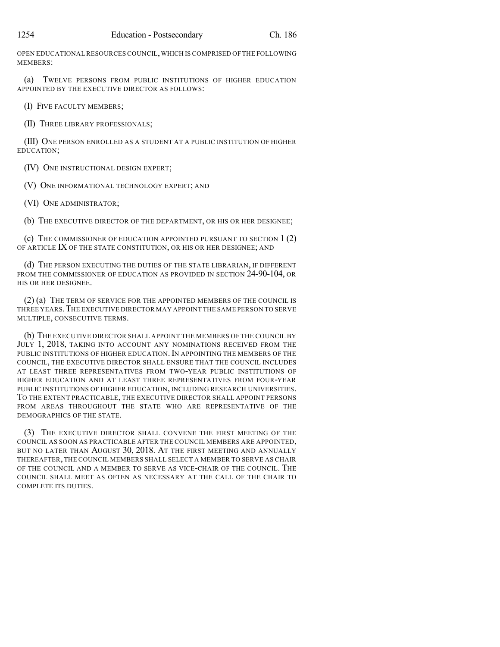OPEN EDUCATIONAL RESOURCES COUNCIL,WHICH IS COMPRISED OF THE FOLLOWING MEMBERS:

(a) TWELVE PERSONS FROM PUBLIC INSTITUTIONS OF HIGHER EDUCATION APPOINTED BY THE EXECUTIVE DIRECTOR AS FOLLOWS:

(I) FIVE FACULTY MEMBERS;

(II) THREE LIBRARY PROFESSIONALS;

(III) ONE PERSON ENROLLED AS A STUDENT AT A PUBLIC INSTITUTION OF HIGHER EDUCATION;

(IV) ONE INSTRUCTIONAL DESIGN EXPERT;

(V) ONE INFORMATIONAL TECHNOLOGY EXPERT; AND

(VI) ONE ADMINISTRATOR;

(b) THE EXECUTIVE DIRECTOR OF THE DEPARTMENT, OR HIS OR HER DESIGNEE;

(c) THE COMMISSIONER OF EDUCATION APPOINTED PURSUANT TO SECTION 1 (2) OF ARTICLE IX OF THE STATE CONSTITUTION, OR HIS OR HER DESIGNEE; AND

(d) THE PERSON EXECUTING THE DUTIES OF THE STATE LIBRARIAN, IF DIFFERENT FROM THE COMMISSIONER OF EDUCATION AS PROVIDED IN SECTION 24-90-104, OR HIS OR HER DESIGNEE.

(2) (a) THE TERM OF SERVICE FOR THE APPOINTED MEMBERS OF THE COUNCIL IS THREE YEARS.THE EXECUTIVE DIRECTOR MAY APPOINT THE SAME PERSON TO SERVE MULTIPLE, CONSECUTIVE TERMS.

(b) THE EXECUTIVE DIRECTOR SHALL APPOINT THE MEMBERS OF THE COUNCIL BY JULY 1, 2018, TAKING INTO ACCOUNT ANY NOMINATIONS RECEIVED FROM THE PUBLIC INSTITUTIONS OF HIGHER EDUCATION. IN APPOINTING THE MEMBERS OF THE COUNCIL, THE EXECUTIVE DIRECTOR SHALL ENSURE THAT THE COUNCIL INCLUDES AT LEAST THREE REPRESENTATIVES FROM TWO-YEAR PUBLIC INSTITUTIONS OF HIGHER EDUCATION AND AT LEAST THREE REPRESENTATIVES FROM FOUR-YEAR PUBLIC INSTITUTIONS OF HIGHER EDUCATION, INCLUDING RESEARCH UNIVERSITIES. TO THE EXTENT PRACTICABLE, THE EXECUTIVE DIRECTOR SHALL APPOINT PERSONS FROM AREAS THROUGHOUT THE STATE WHO ARE REPRESENTATIVE OF THE DEMOGRAPHICS OF THE STATE.

(3) THE EXECUTIVE DIRECTOR SHALL CONVENE THE FIRST MEETING OF THE COUNCIL AS SOON AS PRACTICABLE AFTER THE COUNCIL MEMBERS ARE APPOINTED, BUT NO LATER THAN AUGUST 30, 2018. AT THE FIRST MEETING AND ANNUALLY THEREAFTER, THE COUNCIL MEMBERS SHALL SELECT A MEMBER TO SERVE AS CHAIR OF THE COUNCIL AND A MEMBER TO SERVE AS VICE-CHAIR OF THE COUNCIL. THE COUNCIL SHALL MEET AS OFTEN AS NECESSARY AT THE CALL OF THE CHAIR TO COMPLETE ITS DUTIES.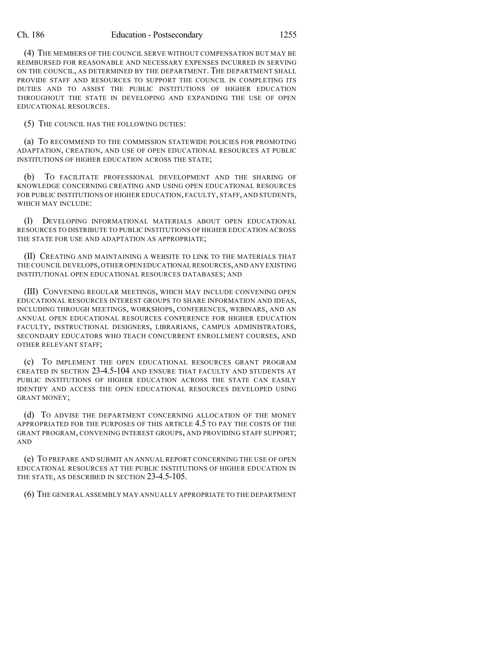(4) THE MEMBERS OF THE COUNCIL SERVE WITHOUT COMPENSATION BUT MAY BE REIMBURSED FOR REASONABLE AND NECESSARY EXPENSES INCURRED IN SERVING ON THE COUNCIL, AS DETERMINED BY THE DEPARTMENT. THE DEPARTMENT SHALL PROVIDE STAFF AND RESOURCES TO SUPPORT THE COUNCIL IN COMPLETING ITS DUTIES AND TO ASSIST THE PUBLIC INSTITUTIONS OF HIGHER EDUCATION THROUGHOUT THE STATE IN DEVELOPING AND EXPANDING THE USE OF OPEN EDUCATIONAL RESOURCES.

(5) THE COUNCIL HAS THE FOLLOWING DUTIES:

(a) TO RECOMMEND TO THE COMMISSION STATEWIDE POLICIES FOR PROMOTING ADAPTATION, CREATION, AND USE OF OPEN EDUCATIONAL RESOURCES AT PUBLIC INSTITUTIONS OF HIGHER EDUCATION ACROSS THE STATE;

(b) TO FACILITATE PROFESSIONAL DEVELOPMENT AND THE SHARING OF KNOWLEDGE CONCERNING CREATING AND USING OPEN EDUCATIONAL RESOURCES FOR PUBLIC INSTITUTIONS OF HIGHER EDUCATION, FACULTY, STAFF, AND STUDENTS, WHICH MAY INCLUDE:

(I) DEVELOPING INFORMATIONAL MATERIALS ABOUT OPEN EDUCATIONAL RESOURCES TO DISTRIBUTE TO PUBLIC INSTITUTIONS OF HIGHER EDUCATION ACROSS THE STATE FOR USE AND ADAPTATION AS APPROPRIATE;

(II) CREATING AND MAINTAINING A WEBSITE TO LINK TO THE MATERIALS THAT THE COUNCIL DEVELOPS,OTHER OPEN EDUCATIONAL RESOURCES,AND ANY EXISTING INSTITUTIONAL OPEN EDUCATIONAL RESOURCES DATABASES; AND

(III) CONVENING REGULAR MEETINGS, WHICH MAY INCLUDE CONVENING OPEN EDUCATIONAL RESOURCES INTEREST GROUPS TO SHARE INFORMATION AND IDEAS, INCLUDING THROUGH MEETINGS, WORKSHOPS, CONFERENCES, WEBINARS, AND AN ANNUAL OPEN EDUCATIONAL RESOURCES CONFERENCE FOR HIGHER EDUCATION FACULTY, INSTRUCTIONAL DESIGNERS, LIBRARIANS, CAMPUS ADMINISTRATORS, SECONDARY EDUCATORS WHO TEACH CONCURRENT ENROLLMENT COURSES, AND OTHER RELEVANT STAFF;

(c) TO IMPLEMENT THE OPEN EDUCATIONAL RESOURCES GRANT PROGRAM CREATED IN SECTION 23-4.5-104 AND ENSURE THAT FACULTY AND STUDENTS AT PUBLIC INSTITUTIONS OF HIGHER EDUCATION ACROSS THE STATE CAN EASILY IDENTIFY AND ACCESS THE OPEN EDUCATIONAL RESOURCES DEVELOPED USING GRANT MONEY;

(d) TO ADVISE THE DEPARTMENT CONCERNING ALLOCATION OF THE MONEY APPROPRIATED FOR THE PURPOSES OF THIS ARTICLE 4.5 TO PAY THE COSTS OF THE GRANT PROGRAM, CONVENING INTEREST GROUPS, AND PROVIDING STAFF SUPPORT; AND

(e) TO PREPARE AND SUBMIT AN ANNUAL REPORT CONCERNING THE USE OF OPEN EDUCATIONAL RESOURCES AT THE PUBLIC INSTITUTIONS OF HIGHER EDUCATION IN THE STATE, AS DESCRIBED IN SECTION 23-4.5-105.

(6) THE GENERAL ASSEMBLY MAY ANNUALLY APPROPRIATE TO THE DEPARTMENT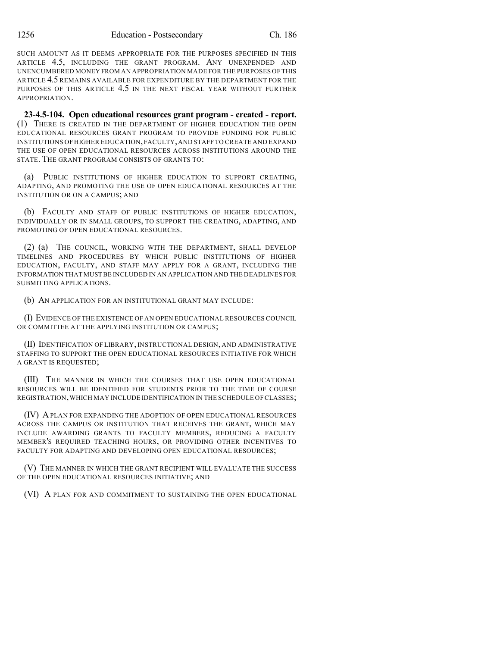SUCH AMOUNT AS IT DEEMS APPROPRIATE FOR THE PURPOSES SPECIFIED IN THIS ARTICLE 4.5, INCLUDING THE GRANT PROGRAM. ANY UNEXPENDED AND UNENCUMBERED MONEY FROM AN APPROPRIATION MADE FOR THE PURPOSES OF THIS ARTICLE 4.5 REMAINS AVAILABLE FOR EXPENDITURE BY THE DEPARTMENT FOR THE PURPOSES OF THIS ARTICLE 4.5 IN THE NEXT FISCAL YEAR WITHOUT FURTHER APPROPRIATION.

**23-4.5-104. Open educational resources grant program - created - report.** (1) THERE IS CREATED IN THE DEPARTMENT OF HIGHER EDUCATION THE OPEN EDUCATIONAL RESOURCES GRANT PROGRAM TO PROVIDE FUNDING FOR PUBLIC INSTITUTIONS OF HIGHER EDUCATION,FACULTY,AND STAFF TO CREATE AND EXPAND THE USE OF OPEN EDUCATIONAL RESOURCES ACROSS INSTITUTIONS AROUND THE STATE. THE GRANT PROGRAM CONSISTS OF GRANTS TO:

(a) PUBLIC INSTITUTIONS OF HIGHER EDUCATION TO SUPPORT CREATING, ADAPTING, AND PROMOTING THE USE OF OPEN EDUCATIONAL RESOURCES AT THE INSTITUTION OR ON A CAMPUS; AND

(b) FACULTY AND STAFF OF PUBLIC INSTITUTIONS OF HIGHER EDUCATION, INDIVIDUALLY OR IN SMALL GROUPS, TO SUPPORT THE CREATING, ADAPTING, AND PROMOTING OF OPEN EDUCATIONAL RESOURCES.

(2) (a) THE COUNCIL, WORKING WITH THE DEPARTMENT, SHALL DEVELOP TIMELINES AND PROCEDURES BY WHICH PUBLIC INSTITUTIONS OF HIGHER EDUCATION, FACULTY, AND STAFF MAY APPLY FOR A GRANT, INCLUDING THE INFORMATION THAT MUST BE INCLUDED IN AN APPLICATION AND THE DEADLINES FOR SUBMITTING APPLICATIONS.

(b) AN APPLICATION FOR AN INSTITUTIONAL GRANT MAY INCLUDE:

(I) EVIDENCE OF THE EXISTENCE OF AN OPEN EDUCATIONAL RESOURCES COUNCIL OR COMMITTEE AT THE APPLYING INSTITUTION OR CAMPUS;

(II) IDENTIFICATION OF LIBRARY, INSTRUCTIONAL DESIGN, AND ADMINISTRATIVE STAFFING TO SUPPORT THE OPEN EDUCATIONAL RESOURCES INITIATIVE FOR WHICH A GRANT IS REQUESTED;

(III) THE MANNER IN WHICH THE COURSES THAT USE OPEN EDUCATIONAL RESOURCES WILL BE IDENTIFIED FOR STUDENTS PRIOR TO THE TIME OF COURSE REGISTRATION,WHICH MAY INCLUDE IDENTIFICATION IN THE SCHEDULE OF CLASSES;

(IV) APLAN FOR EXPANDING THE ADOPTION OF OPEN EDUCATIONAL RESOURCES ACROSS THE CAMPUS OR INSTITUTION THAT RECEIVES THE GRANT, WHICH MAY INCLUDE AWARDING GRANTS TO FACULTY MEMBERS, REDUCING A FACULTY MEMBER'S REQUIRED TEACHING HOURS, OR PROVIDING OTHER INCENTIVES TO FACULTY FOR ADAPTING AND DEVELOPING OPEN EDUCATIONAL RESOURCES;

(V) THE MANNER IN WHICH THE GRANT RECIPIENT WILL EVALUATE THE SUCCESS OF THE OPEN EDUCATIONAL RESOURCES INITIATIVE; AND

(VI) A PLAN FOR AND COMMITMENT TO SUSTAINING THE OPEN EDUCATIONAL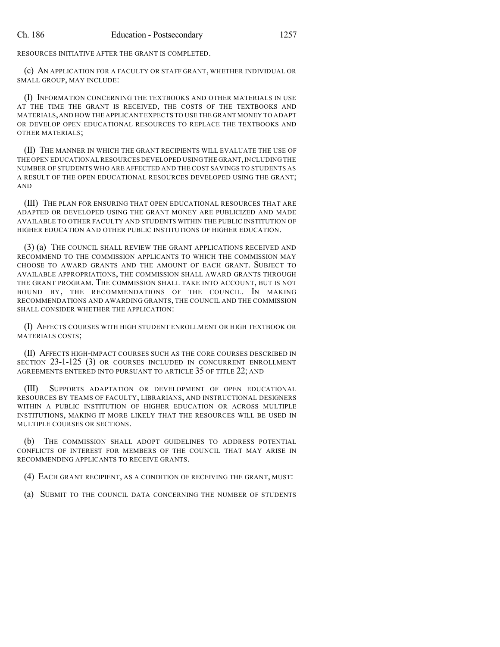RESOURCES INITIATIVE AFTER THE GRANT IS COMPLETED.

(c) AN APPLICATION FOR A FACULTY OR STAFF GRANT, WHETHER INDIVIDUAL OR SMALL GROUP, MAY INCLUDE:

(I) INFORMATION CONCERNING THE TEXTBOOKS AND OTHER MATERIALS IN USE AT THE TIME THE GRANT IS RECEIVED, THE COSTS OF THE TEXTBOOKS AND MATERIALS,AND HOW THE APPLICANT EXPECTS TO USE THE GRANT MONEY TO ADAPT OR DEVELOP OPEN EDUCATIONAL RESOURCES TO REPLACE THE TEXTBOOKS AND OTHER MATERIALS;

(II) THE MANNER IN WHICH THE GRANT RECIPIENTS WILL EVALUATE THE USE OF THE OPEN EDUCATIONAL RESOURCES DEVELOPED USING THE GRANT, INCLUDING THE NUMBER OF STUDENTS WHO ARE AFFECTED AND THE COST SAVINGS TO STUDENTS AS A RESULT OF THE OPEN EDUCATIONAL RESOURCES DEVELOPED USING THE GRANT; AND

(III) THE PLAN FOR ENSURING THAT OPEN EDUCATIONAL RESOURCES THAT ARE ADAPTED OR DEVELOPED USING THE GRANT MONEY ARE PUBLICIZED AND MADE AVAILABLE TO OTHER FACULTY AND STUDENTS WITHIN THE PUBLIC INSTITUTION OF HIGHER EDUCATION AND OTHER PUBLIC INSTITUTIONS OF HIGHER EDUCATION.

(3) (a) THE COUNCIL SHALL REVIEW THE GRANT APPLICATIONS RECEIVED AND RECOMMEND TO THE COMMISSION APPLICANTS TO WHICH THE COMMISSION MAY CHOOSE TO AWARD GRANTS AND THE AMOUNT OF EACH GRANT. SUBJECT TO AVAILABLE APPROPRIATIONS, THE COMMISSION SHALL AWARD GRANTS THROUGH THE GRANT PROGRAM. THE COMMISSION SHALL TAKE INTO ACCOUNT, BUT IS NOT BOUND BY, THE RECOMMENDATIONS OF THE COUNCIL. IN MAKING RECOMMENDATIONS AND AWARDING GRANTS, THE COUNCIL AND THE COMMISSION SHALL CONSIDER WHETHER THE APPLICATION:

(I) AFFECTS COURSES WITH HIGH STUDENT ENROLLMENT OR HIGH TEXTBOOK OR MATERIALS COSTS;

(II) AFFECTS HIGH-IMPACT COURSES SUCH AS THE CORE COURSES DESCRIBED IN SECTION 23-1-125 (3) OR COURSES INCLUDED IN CONCURRENT ENROLLMENT AGREEMENTS ENTERED INTO PURSUANT TO ARTICLE 35 OF TITLE 22; AND

(III) SUPPORTS ADAPTATION OR DEVELOPMENT OF OPEN EDUCATIONAL RESOURCES BY TEAMS OF FACULTY, LIBRARIANS, AND INSTRUCTIONAL DESIGNERS WITHIN A PUBLIC INSTITUTION OF HIGHER EDUCATION OR ACROSS MULTIPLE INSTITUTIONS, MAKING IT MORE LIKELY THAT THE RESOURCES WILL BE USED IN MULTIPLE COURSES OR SECTIONS.

(b) THE COMMISSION SHALL ADOPT GUIDELINES TO ADDRESS POTENTIAL CONFLICTS OF INTEREST FOR MEMBERS OF THE COUNCIL THAT MAY ARISE IN RECOMMENDING APPLICANTS TO RECEIVE GRANTS.

(4) EACH GRANT RECIPIENT, AS A CONDITION OF RECEIVING THE GRANT, MUST:

(a) SUBMIT TO THE COUNCIL DATA CONCERNING THE NUMBER OF STUDENTS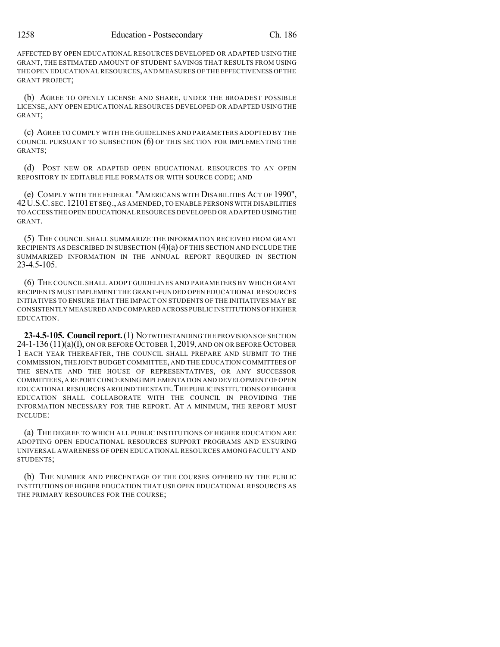AFFECTED BY OPEN EDUCATIONAL RESOURCES DEVELOPED OR ADAPTED USING THE GRANT, THE ESTIMATED AMOUNT OF STUDENT SAVINGS THAT RESULTS FROM USING THE OPEN EDUCATIONAL RESOURCES,AND MEASURES OF THE EFFECTIVENESS OFTHE GRANT PROJECT;

(b) AGREE TO OPENLY LICENSE AND SHARE, UNDER THE BROADEST POSSIBLE LICENSE, ANY OPEN EDUCATIONAL RESOURCES DEVELOPED OR ADAPTED USING THE GRANT;

(c) AGREE TO COMPLY WITH THE GUIDELINES AND PARAMETERS ADOPTED BY THE COUNCIL PURSUANT TO SUBSECTION (6) OF THIS SECTION FOR IMPLEMENTING THE GRANTS;

(d) POST NEW OR ADAPTED OPEN EDUCATIONAL RESOURCES TO AN OPEN REPOSITORY IN EDITABLE FILE FORMATS OR WITH SOURCE CODE; AND

(e) COMPLY WITH THE FEDERAL "AMERICANS WITH DISABILITIES ACT OF 1990", 42U.S.C. SEC.12101ET SEQ., AS AMENDED,TO ENABLE PERSONS WITH DISABILITIES TO ACCESS THE OPEN EDUCATIONAL RESOURCES DEVELOPED OR ADAPTED USING THE GRANT.

(5) THE COUNCIL SHALL SUMMARIZE THE INFORMATION RECEIVED FROM GRANT RECIPIENTS AS DESCRIBED IN SUBSECTION  $(4)(a)$  OF THIS SECTION AND INCLUDE THE SUMMARIZED INFORMATION IN THE ANNUAL REPORT REQUIRED IN SECTION 23-4.5-105.

(6) THE COUNCIL SHALL ADOPT GUIDELINES AND PARAMETERS BY WHICH GRANT RECIPIENTS MUST IMPLEMENT THE GRANT-FUNDED OPEN EDUCATIONAL RESOURCES INITIATIVES TO ENSURE THAT THE IMPACT ON STUDENTS OF THE INITIATIVES MAY BE CONSISTENTLY MEASURED AND COMPARED ACROSS PUBLIC INSTITUTIONS OF HIGHER EDUCATION.

**23-4.5-105. Council report.**(1) NOTWITHSTANDINGTHE PROVISIONS OF SECTION 24-1-136 (11)(a)(I), ON OR BEFORE OCTOBER 1, 2019, AND ON OR BEFORE OCTOBER 1 EACH YEAR THEREAFTER, THE COUNCIL SHALL PREPARE AND SUBMIT TO THE COMMISSION,THE JOINT BUDGET COMMITTEE, AND THE EDUCATION COMMITTEES OF THE SENATE AND THE HOUSE OF REPRESENTATIVES, OR ANY SUCCESSOR COMMITTEES,A REPORT CONCERNINGIMPLEMENTATION AND DEVELOPMENT OF OPEN EDUCATIONAL RESOURCES AROUND THE STATE.THE PUBLIC INSTITUTIONS OF HIGHER EDUCATION SHALL COLLABORATE WITH THE COUNCIL IN PROVIDING THE INFORMATION NECESSARY FOR THE REPORT. AT A MINIMUM, THE REPORT MUST INCLUDE:

(a) THE DEGREE TO WHICH ALL PUBLIC INSTITUTIONS OF HIGHER EDUCATION ARE ADOPTING OPEN EDUCATIONAL RESOURCES SUPPORT PROGRAMS AND ENSURING UNIVERSAL AWARENESS OF OPEN EDUCATIONAL RESOURCES AMONG FACULTY AND STUDENTS;

(b) THE NUMBER AND PERCENTAGE OF THE COURSES OFFERED BY THE PUBLIC INSTITUTIONS OF HIGHER EDUCATION THAT USE OPEN EDUCATIONAL RESOURCES AS THE PRIMARY RESOURCES FOR THE COURSE;